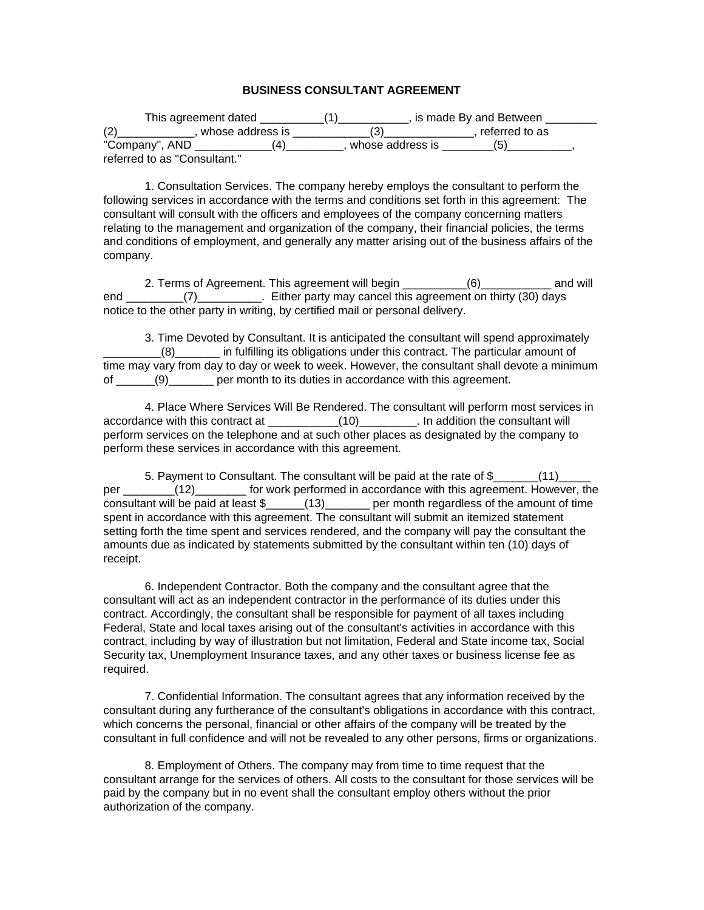## **BUSINESS CONSULTANT AGREEMENT**

| This agreement dated         |  |                  | , is made By and Between |  |
|------------------------------|--|------------------|--------------------------|--|
| whose address is             |  |                  | referred to as           |  |
| "Company", AND               |  | whose address is |                          |  |
| referred to as "Consultant." |  |                  |                          |  |

1. Consultation Services. The company hereby employs the consultant to perform the following services in accordance with the terms and conditions set forth in this agreement: The consultant will consult with the officers and employees of the company concerning matters relating to the management and organization of the company, their financial policies, the terms and conditions of employment, and generally any matter arising out of the business affairs of the company.

2. Terms of Agreement. This agreement will begin \_\_\_\_\_\_\_\_\_\_(6)\_\_\_\_\_\_\_\_\_\_\_ and will end (7) Either party may cancel this agreement on thirty (30) days notice to the other party in writing, by certified mail or personal delivery.

3. Time Devoted by Consultant. It is anticipated the consultant will spend approximately \_\_\_\_\_\_\_\_\_(8)\_\_\_\_\_\_\_ in fulfilling its obligations under this contract. The particular amount of time may vary from day to day or week to week. However, the consultant shall devote a minimum of (9) per month to its duties in accordance with this agreement.

4. Place Where Services Will Be Rendered. The consultant will perform most services in accordance with this contract at \_\_\_\_\_\_\_\_\_\_\_(10)\_\_\_\_\_\_\_\_\_. In addition the consultant will perform services on the telephone and at such other places as designated by the company to perform these services in accordance with this agreement.

5. Payment to Consultant. The consultant will be paid at the rate of \$  $(11)$ per  $(12)$  for work performed in accordance with this agreement. However, the consultant will be paid at least \$\_\_\_\_\_(13)\_\_\_\_\_\_ per month regardless of the amount of time spent in accordance with this agreement. The consultant will submit an itemized statement setting forth the time spent and services rendered, and the company will pay the consultant the amounts due as indicated by statements submitted by the consultant within ten (10) days of receipt.

6. Independent Contractor. Both the company and the consultant agree that the consultant will act as an independent contractor in the performance of its duties under this contract. Accordingly, the consultant shall be responsible for payment of all taxes including Federal, State and local taxes arising out of the consultant's activities in accordance with this contract, including by way of illustration but not limitation, Federal and State income tax, Social Security tax, Unemployment Insurance taxes, and any other taxes or business license fee as required.

7. Confidential Information. The consultant agrees that any information received by the consultant during any furtherance of the consultant's obligations in accordance with this contract, which concerns the personal, financial or other affairs of the company will be treated by the consultant in full confidence and will not be revealed to any other persons, firms or organizations.

8. Employment of Others. The company may from time to time request that the consultant arrange for the services of others. All costs to the consultant for those services will be paid by the company but in no event shall the consultant employ others without the prior authorization of the company.